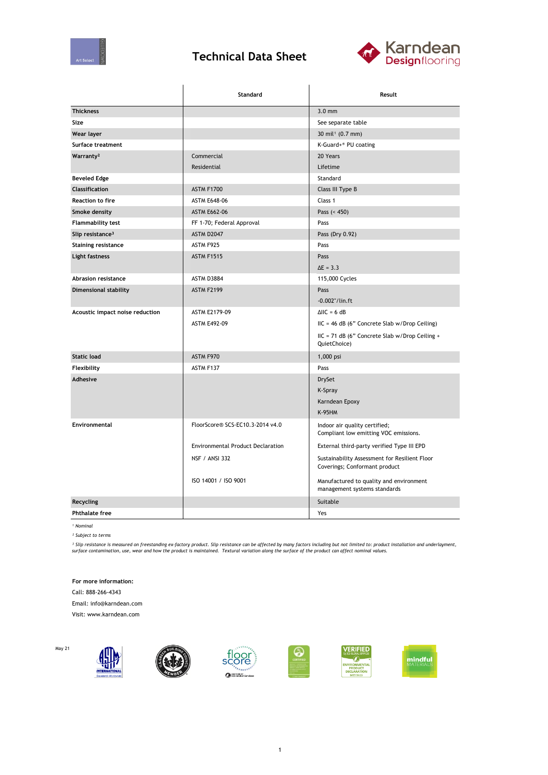

## **Technical Data Sheet**



|                                 | Standard                                 | Result                                                                         |  |
|---------------------------------|------------------------------------------|--------------------------------------------------------------------------------|--|
| <b>Thickness</b>                |                                          | $3.0 \text{ mm}$                                                               |  |
| Size                            |                                          | See separate table                                                             |  |
| Wear layer                      |                                          | 30 mil <sup>1</sup> (0.7 mm)                                                   |  |
| Surface treatment               |                                          | K-Guard+® PU coating                                                           |  |
| Warranty <sup>2</sup>           | Commercial                               | 20 Years                                                                       |  |
|                                 | Residential                              | Lifetime                                                                       |  |
| <b>Beveled Edge</b>             |                                          | Standard                                                                       |  |
| <b>Classification</b>           | ASTM F1700                               | Class III Type B                                                               |  |
| <b>Reaction to fire</b>         | <b>ASTM E648-06</b>                      | Class 1                                                                        |  |
| Smoke density                   | <b>ASTM E662-06</b>                      | Pass (< 450)                                                                   |  |
| <b>Flammability test</b>        | FF 1-70; Federal Approval                | Pass                                                                           |  |
| Slip resistance <sup>3</sup>    | ASTM D2047                               | Pass (Dry 0.92)                                                                |  |
| <b>Staining resistance</b>      | ASTM F925                                | Pass                                                                           |  |
| Light fastness                  | <b>ASTM F1515</b>                        | Pass                                                                           |  |
|                                 |                                          | $\Delta E = 3.3$                                                               |  |
| Abrasion resistance             | ASTM D3884                               | 115,000 Cycles                                                                 |  |
| Dimensional stability           | ASTM F2199                               | Pass                                                                           |  |
|                                 |                                          | $-0.002$ "/lin.ft                                                              |  |
| Acoustic impact noise reduction | ASTM E2179-09                            | $\Delta$ IIC = 6 dB                                                            |  |
|                                 | <b>ASTM E492-09</b>                      | IIC = 46 dB (6" Concrete Slab w/Drop Ceiling)                                  |  |
|                                 |                                          | IIC = 71 dB (6" Concrete Slab w/Drop Ceiling +<br>QuietChoice)                 |  |
| <b>Static load</b>              | ASTM F970                                | 1,000 psi                                                                      |  |
| Flexibility                     | ASTM F137                                | Pass                                                                           |  |
| <b>Adhesive</b>                 |                                          | <b>DrySet</b>                                                                  |  |
|                                 |                                          | K-Spray                                                                        |  |
|                                 |                                          | Karndean Epoxy                                                                 |  |
|                                 |                                          | <b>K-95HM</b>                                                                  |  |
| <b>Environmental</b>            | FloorScore® SCS-EC10.3-2014 v4.0         | Indoor air quality certified;<br>Compliant low emitting VOC emissions.         |  |
|                                 | <b>Environmental Product Declaration</b> | External third-party verified Type III EPD                                     |  |
|                                 | <b>NSF / ANSI 332</b>                    | Sustainability Assessment for Resilient Floor<br>Coverings; Conformant product |  |
|                                 | ISO 14001 / ISO 9001                     | Manufactured to quality and environment<br>management systems standards        |  |
| <b>Recycling</b>                |                                          | Suitable                                                                       |  |
| <b>Phthalate free</b>           |                                          | Yes                                                                            |  |

*¹ Nominal*

May 21

*² Subject to terms*

<sup>3</sup> Slip resistance is measured on freestanding ex-factory product. Slip resistance can be affected by many factors including but not limited to: product installation and underlayment,<br>surface contamination, use, wear and

**For more information:**

Call: 888-266-4343

Email: info@karndean.com

Visit: www.karndean.com